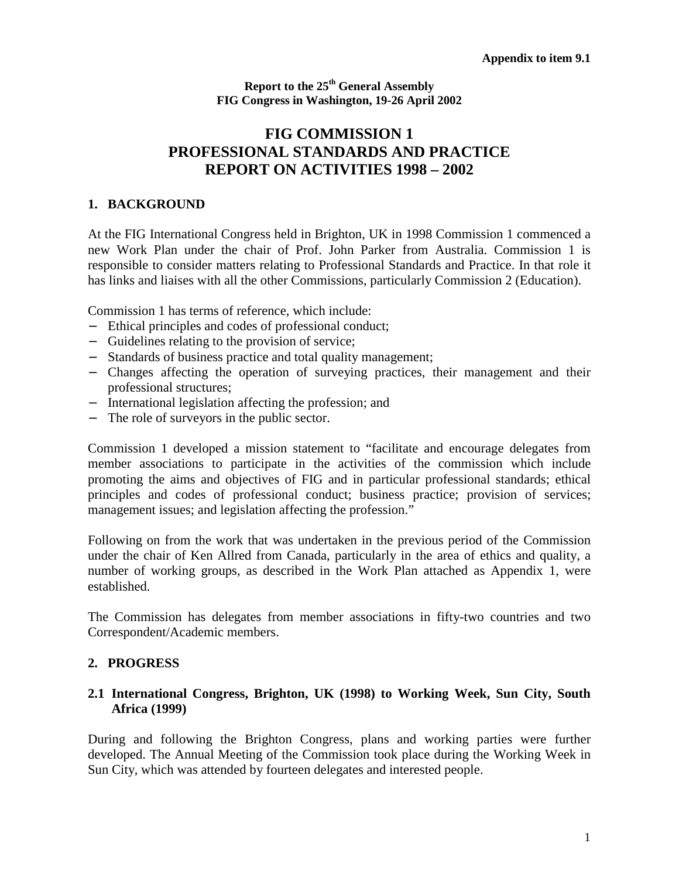**Report to the 25th General Assembly FIG Congress in Washington, 19-26 April 2002**

# **FIG COMMISSION 1 PROFESSIONAL STANDARDS AND PRACTICE REPORT ON ACTIVITIES 1998 – 2002**

#### **1. BACKGROUND**

At the FIG International Congress held in Brighton, UK in 1998 Commission 1 commenced a new Work Plan under the chair of Prof. John Parker from Australia. Commission 1 is responsible to consider matters relating to Professional Standards and Practice. In that role it has links and liaises with all the other Commissions, particularly Commission 2 (Education).

Commission 1 has terms of reference, which include:

- − Ethical principles and codes of professional conduct;
- − Guidelines relating to the provision of service;
- − Standards of business practice and total quality management;
- − Changes affecting the operation of surveying practices, their management and their professional structures;
- − International legislation affecting the profession; and
- − The role of surveyors in the public sector.

Commission 1 developed a mission statement to "facilitate and encourage delegates from member associations to participate in the activities of the commission which include promoting the aims and objectives of FIG and in particular professional standards; ethical principles and codes of professional conduct; business practice; provision of services; management issues; and legislation affecting the profession."

Following on from the work that was undertaken in the previous period of the Commission under the chair of Ken Allred from Canada, particularly in the area of ethics and quality, a number of working groups, as described in the Work Plan attached as Appendix 1, were established.

The Commission has delegates from member associations in fifty-two countries and two Correspondent/Academic members.

#### **2. PROGRESS**

#### **2.1 International Congress, Brighton, UK (1998) to Working Week, Sun City, South Africa (1999)**

During and following the Brighton Congress, plans and working parties were further developed. The Annual Meeting of the Commission took place during the Working Week in Sun City, which was attended by fourteen delegates and interested people.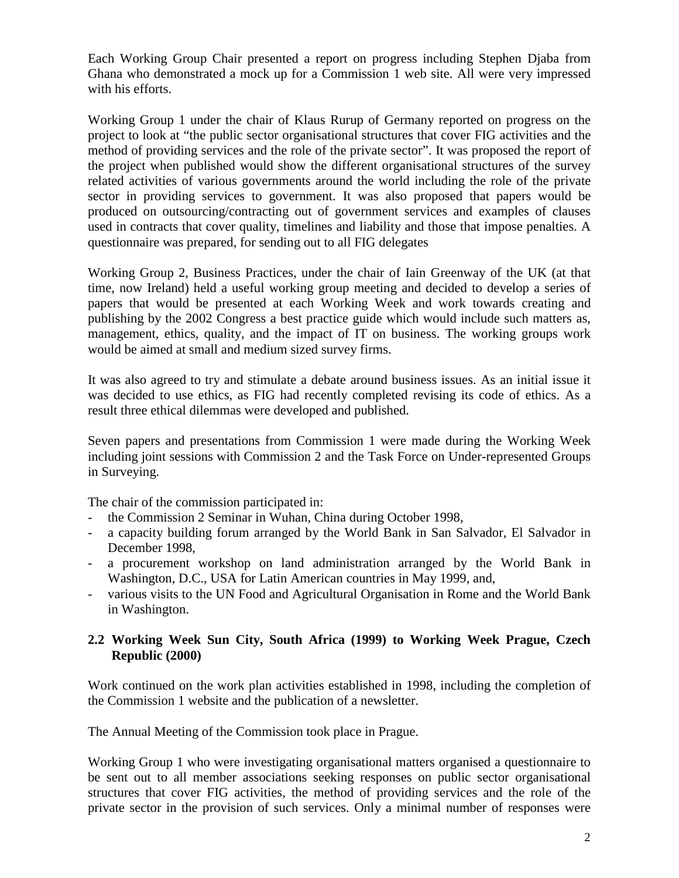Each Working Group Chair presented a report on progress including Stephen Djaba from Ghana who demonstrated a mock up for a Commission 1 web site. All were very impressed with his efforts.

Working Group 1 under the chair of Klaus Rurup of Germany reported on progress on the project to look at "the public sector organisational structures that cover FIG activities and the method of providing services and the role of the private sector". It was proposed the report of the project when published would show the different organisational structures of the survey related activities of various governments around the world including the role of the private sector in providing services to government. It was also proposed that papers would be produced on outsourcing/contracting out of government services and examples of clauses used in contracts that cover quality, timelines and liability and those that impose penalties. A questionnaire was prepared, for sending out to all FIG delegates

Working Group 2, Business Practices, under the chair of Iain Greenway of the UK (at that time, now Ireland) held a useful working group meeting and decided to develop a series of papers that would be presented at each Working Week and work towards creating and publishing by the 2002 Congress a best practice guide which would include such matters as, management, ethics, quality, and the impact of IT on business. The working groups work would be aimed at small and medium sized survey firms.

It was also agreed to try and stimulate a debate around business issues. As an initial issue it was decided to use ethics, as FIG had recently completed revising its code of ethics. As a result three ethical dilemmas were developed and published.

Seven papers and presentations from Commission 1 were made during the Working Week including joint sessions with Commission 2 and the Task Force on Under-represented Groups in Surveying.

The chair of the commission participated in:

- the Commission 2 Seminar in Wuhan, China during October 1998,
- a capacity building forum arranged by the World Bank in San Salvador, El Salvador in December 1998,
- a procurement workshop on land administration arranged by the World Bank in Washington, D.C., USA for Latin American countries in May 1999, and,
- various visits to the UN Food and Agricultural Organisation in Rome and the World Bank in Washington.

## **2.2 Working Week Sun City, South Africa (1999) to Working Week Prague, Czech Republic (2000)**

Work continued on the work plan activities established in 1998, including the completion of the Commission 1 website and the publication of a newsletter.

The Annual Meeting of the Commission took place in Prague.

Working Group 1 who were investigating organisational matters organised a questionnaire to be sent out to all member associations seeking responses on public sector organisational structures that cover FIG activities, the method of providing services and the role of the private sector in the provision of such services. Only a minimal number of responses were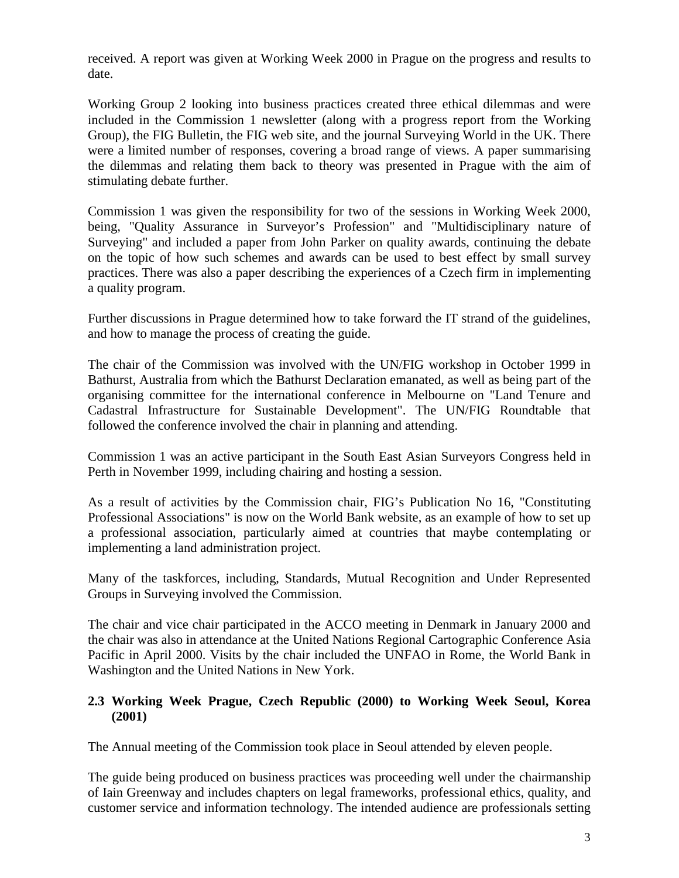received. A report was given at Working Week 2000 in Prague on the progress and results to date.

Working Group 2 looking into business practices created three ethical dilemmas and were included in the Commission 1 newsletter (along with a progress report from the Working Group), the FIG Bulletin, the FIG web site, and the journal Surveying World in the UK. There were a limited number of responses, covering a broad range of views. A paper summarising the dilemmas and relating them back to theory was presented in Prague with the aim of stimulating debate further.

Commission 1 was given the responsibility for two of the sessions in Working Week 2000, being, "Quality Assurance in Surveyor's Profession" and "Multidisciplinary nature of Surveying" and included a paper from John Parker on quality awards, continuing the debate on the topic of how such schemes and awards can be used to best effect by small survey practices. There was also a paper describing the experiences of a Czech firm in implementing a quality program.

Further discussions in Prague determined how to take forward the IT strand of the guidelines, and how to manage the process of creating the guide.

The chair of the Commission was involved with the UN/FIG workshop in October 1999 in Bathurst, Australia from which the Bathurst Declaration emanated, as well as being part of the organising committee for the international conference in Melbourne on "Land Tenure and Cadastral Infrastructure for Sustainable Development". The UN/FIG Roundtable that followed the conference involved the chair in planning and attending.

Commission 1 was an active participant in the South East Asian Surveyors Congress held in Perth in November 1999, including chairing and hosting a session.

As a result of activities by the Commission chair, FIG's Publication No 16, "Constituting Professional Associations" is now on the World Bank website, as an example of how to set up a professional association, particularly aimed at countries that maybe contemplating or implementing a land administration project.

Many of the taskforces, including, Standards, Mutual Recognition and Under Represented Groups in Surveying involved the Commission.

The chair and vice chair participated in the ACCO meeting in Denmark in January 2000 and the chair was also in attendance at the United Nations Regional Cartographic Conference Asia Pacific in April 2000. Visits by the chair included the UNFAO in Rome, the World Bank in Washington and the United Nations in New York.

## **2.3 Working Week Prague, Czech Republic (2000) to Working Week Seoul, Korea (2001)**

The Annual meeting of the Commission took place in Seoul attended by eleven people.

The guide being produced on business practices was proceeding well under the chairmanship of Iain Greenway and includes chapters on legal frameworks, professional ethics, quality, and customer service and information technology. The intended audience are professionals setting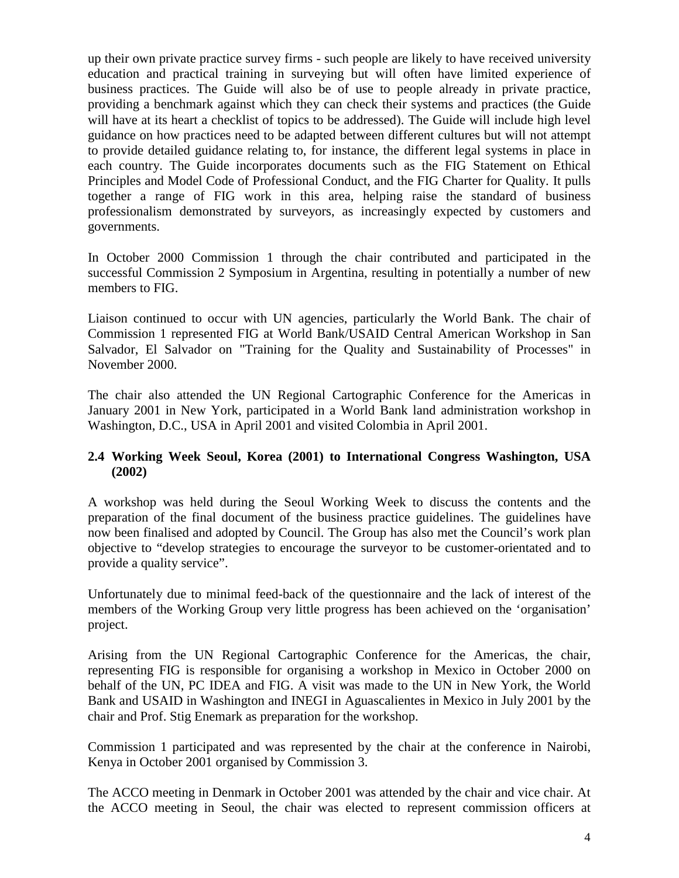up their own private practice survey firms - such people are likely to have received university education and practical training in surveying but will often have limited experience of business practices. The Guide will also be of use to people already in private practice, providing a benchmark against which they can check their systems and practices (the Guide will have at its heart a checklist of topics to be addressed). The Guide will include high level guidance on how practices need to be adapted between different cultures but will not attempt to provide detailed guidance relating to, for instance, the different legal systems in place in each country. The Guide incorporates documents such as the FIG Statement on Ethical Principles and Model Code of Professional Conduct, and the FIG Charter for Quality. It pulls together a range of FIG work in this area, helping raise the standard of business professionalism demonstrated by surveyors, as increasingly expected by customers and governments.

In October 2000 Commission 1 through the chair contributed and participated in the successful Commission 2 Symposium in Argentina, resulting in potentially a number of new members to FIG.

Liaison continued to occur with UN agencies, particularly the World Bank. The chair of Commission 1 represented FIG at World Bank/USAID Central American Workshop in San Salvador, El Salvador on "Training for the Quality and Sustainability of Processes" in November 2000.

The chair also attended the UN Regional Cartographic Conference for the Americas in January 2001 in New York, participated in a World Bank land administration workshop in Washington, D.C., USA in April 2001 and visited Colombia in April 2001.

## **2.4 Working Week Seoul, Korea (2001) to International Congress Washington, USA (2002)**

A workshop was held during the Seoul Working Week to discuss the contents and the preparation of the final document of the business practice guidelines. The guidelines have now been finalised and adopted by Council. The Group has also met the Council's work plan objective to "develop strategies to encourage the surveyor to be customer-orientated and to provide a quality service".

Unfortunately due to minimal feed-back of the questionnaire and the lack of interest of the members of the Working Group very little progress has been achieved on the 'organisation' project.

Arising from the UN Regional Cartographic Conference for the Americas, the chair, representing FIG is responsible for organising a workshop in Mexico in October 2000 on behalf of the UN, PC IDEA and FIG. A visit was made to the UN in New York, the World Bank and USAID in Washington and INEGI in Aguascalientes in Mexico in July 2001 by the chair and Prof. Stig Enemark as preparation for the workshop.

Commission 1 participated and was represented by the chair at the conference in Nairobi, Kenya in October 2001 organised by Commission 3.

The ACCO meeting in Denmark in October 2001 was attended by the chair and vice chair. At the ACCO meeting in Seoul, the chair was elected to represent commission officers at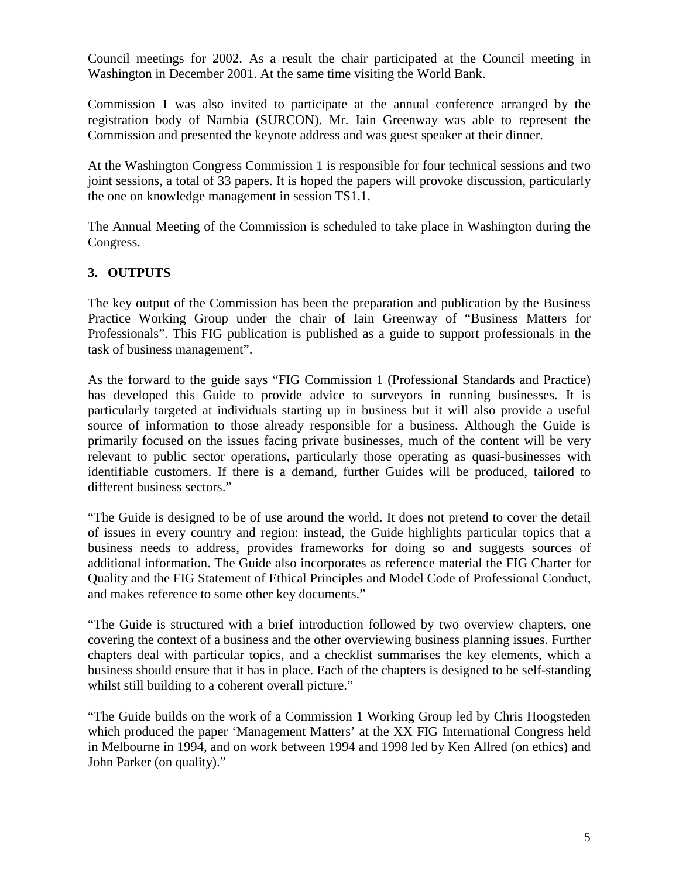Council meetings for 2002. As a result the chair participated at the Council meeting in Washington in December 2001. At the same time visiting the World Bank.

Commission 1 was also invited to participate at the annual conference arranged by the registration body of Nambia (SURCON). Mr. Iain Greenway was able to represent the Commission and presented the keynote address and was guest speaker at their dinner.

At the Washington Congress Commission 1 is responsible for four technical sessions and two joint sessions, a total of 33 papers. It is hoped the papers will provoke discussion, particularly the one on knowledge management in session TS1.1.

The Annual Meeting of the Commission is scheduled to take place in Washington during the Congress.

## **3. OUTPUTS**

The key output of the Commission has been the preparation and publication by the Business Practice Working Group under the chair of Iain Greenway of "Business Matters for Professionals". This FIG publication is published as a guide to support professionals in the task of business management".

As the forward to the guide says "FIG Commission 1 (Professional Standards and Practice) has developed this Guide to provide advice to surveyors in running businesses. It is particularly targeted at individuals starting up in business but it will also provide a useful source of information to those already responsible for a business. Although the Guide is primarily focused on the issues facing private businesses, much of the content will be very relevant to public sector operations, particularly those operating as quasi-businesses with identifiable customers. If there is a demand, further Guides will be produced, tailored to different business sectors."

"The Guide is designed to be of use around the world. It does not pretend to cover the detail of issues in every country and region: instead, the Guide highlights particular topics that a business needs to address, provides frameworks for doing so and suggests sources of additional information. The Guide also incorporates as reference material the FIG Charter for Quality and the FIG Statement of Ethical Principles and Model Code of Professional Conduct, and makes reference to some other key documents."

"The Guide is structured with a brief introduction followed by two overview chapters, one covering the context of a business and the other overviewing business planning issues. Further chapters deal with particular topics, and a checklist summarises the key elements, which a business should ensure that it has in place. Each of the chapters is designed to be self-standing whilst still building to a coherent overall picture."

"The Guide builds on the work of a Commission 1 Working Group led by Chris Hoogsteden which produced the paper 'Management Matters' at the XX FIG International Congress held in Melbourne in 1994, and on work between 1994 and 1998 led by Ken Allred (on ethics) and John Parker (on quality)."